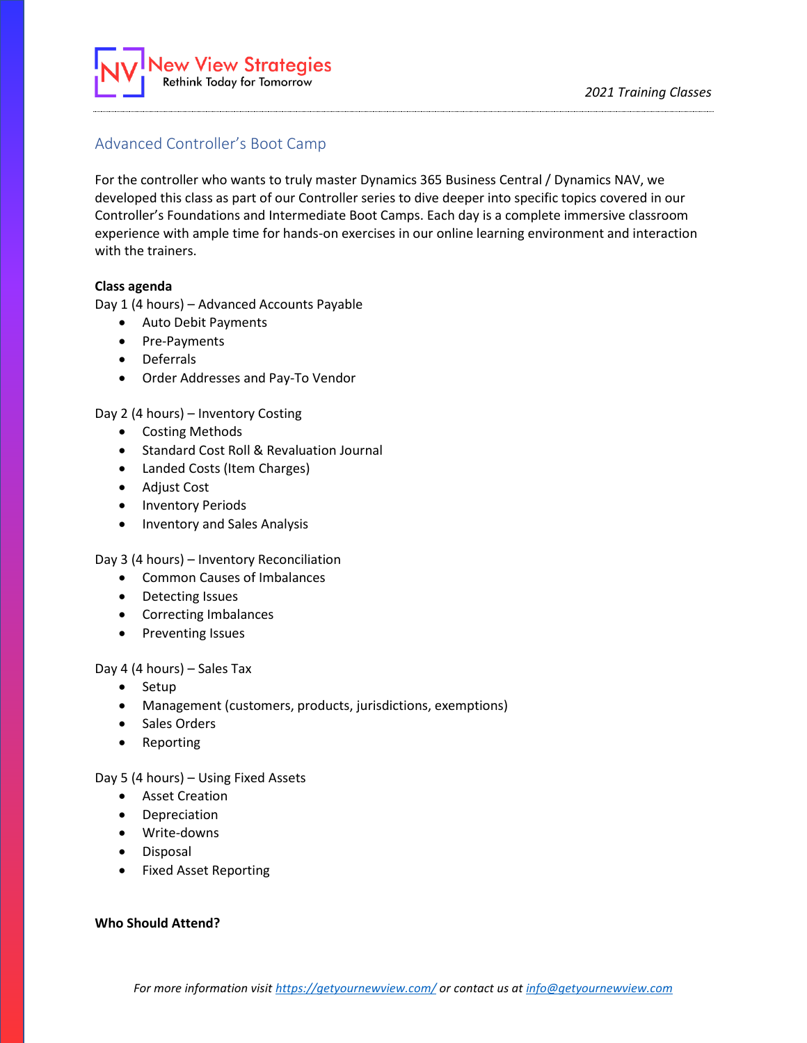

# Advanced Controller's Boot Camp

For the controller who wants to truly master Dynamics 365 Business Central / Dynamics NAV, we developed this class as part of our Controller series to dive deeper into specific topics covered in our Controller's Foundations and Intermediate Boot Camps. Each day is a complete immersive classroom experience with ample time for hands-on exercises in our online learning environment and interaction with the trainers.

### **Class agenda**

Day 1 (4 hours) – Advanced Accounts Payable

- Auto Debit Payments
- Pre-Payments
- Deferrals
- Order Addresses and Pay-To Vendor

Day 2 (4 hours) – Inventory Costing

- Costing Methods
- Standard Cost Roll & Revaluation Journal
- Landed Costs (Item Charges)
- Adjust Cost
- Inventory Periods
- Inventory and Sales Analysis

Day 3 (4 hours) – Inventory Reconciliation

- Common Causes of Imbalances
- Detecting Issues
- Correcting Imbalances
- Preventing Issues

Day 4 (4 hours) – Sales Tax

- Setup
- Management (customers, products, jurisdictions, exemptions)
- Sales Orders
- Reporting

Day 5 (4 hours) – Using Fixed Assets

- Asset Creation
- Depreciation
- Write-downs
- Disposal
- Fixed Asset Reporting

# **Who Should Attend?**